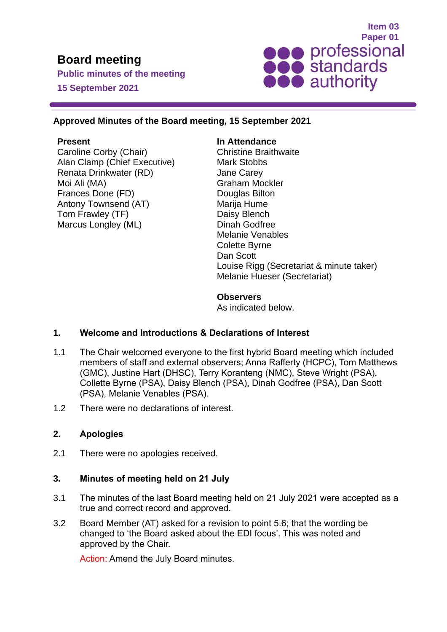# **Board meeting**

**Public minutes of the meeting 15 September 2021**



#### **Approved Minutes of the Board meeting, 15 September 2021**

#### **Present**

Caroline Corby (Chair) Alan Clamp (Chief Executive) Renata Drinkwater (RD) Moi Ali (MA) Frances Done (FD) Antony Townsend (AT) Tom Frawley (TF) Marcus Longley (ML)

#### **In Attendance**

Christine Braithwaite Mark Stobbs Jane Carey Graham Mockler Douglas Bilton Marija Hume Daisy Blench Dinah Godfree Melanie Venables Colette Byrne Dan Scott Louise Rigg (Secretariat & minute taker) Melanie Hueser (Secretariat)

**Observers** 

As indicated below.

#### **1. Welcome and Introductions & Declarations of Interest**

- 1.1 The Chair welcomed everyone to the first hybrid Board meeting which included members of staff and external observers; Anna Rafferty (HCPC), Tom Matthews (GMC), Justine Hart (DHSC), Terry Koranteng (NMC), Steve Wright (PSA), Collette Byrne (PSA), Daisy Blench (PSA), Dinah Godfree (PSA), Dan Scott (PSA), Melanie Venables (PSA).
- 1.2 There were no declarations of interest.

## **2. Apologies**

2.1 There were no apologies received.

#### **3. Minutes of meeting held on 21 July**

- 3.1 The minutes of the last Board meeting held on 21 July 2021 were accepted as a true and correct record and approved.
- 3.2 Board Member (AT) asked for a revision to point 5.6; that the wording be changed to 'the Board asked about the EDI focus'. This was noted and approved by the Chair.

Action: Amend the July Board minutes.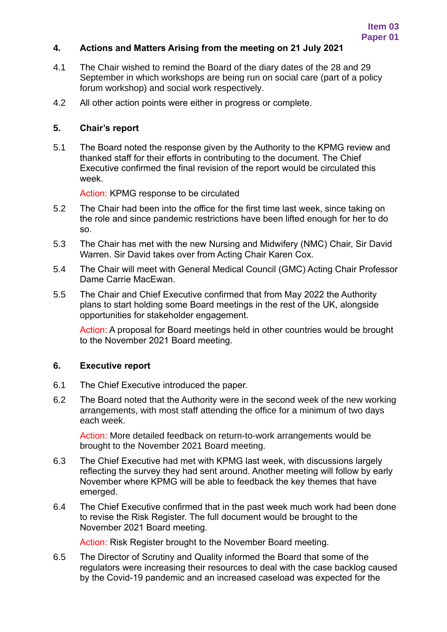#### **4. Actions and Matters Arising from the meeting on 21 July 2021**

- 4.1 The Chair wished to remind the Board of the diary dates of the 28 and 29 September in which workshops are being run on social care (part of a policy forum workshop) and social work respectively.
- 4.2 All other action points were either in progress or complete.

#### **5. Chair's report**

5.1 The Board noted the response given by the Authority to the KPMG review and thanked staff for their efforts in contributing to the document. The Chief Executive confirmed the final revision of the report would be circulated this week.

Action: KPMG response to be circulated

- 5.2 The Chair had been into the office for the first time last week, since taking on the role and since pandemic restrictions have been lifted enough for her to do so.
- 5.3 The Chair has met with the new Nursing and Midwifery (NMC) Chair, Sir David Warren. Sir David takes over from Acting Chair Karen Cox.
- 5.4 The Chair will meet with General Medical Council (GMC) Acting Chair Professor Dame Carrie MacEwan.
- 5.5 The Chair and Chief Executive confirmed that from May 2022 the Authority plans to start holding some Board meetings in the rest of the UK, alongside opportunities for stakeholder engagement.

Action: A proposal for Board meetings held in other countries would be brought to the November 2021 Board meeting.

#### **6. Executive report**

- 6.1 The Chief Executive introduced the paper.
- 6.2 The Board noted that the Authority were in the second week of the new working arrangements, with most staff attending the office for a minimum of two days each week.

Action: More detailed feedback on return-to-work arrangements would be brought to the November 2021 Board meeting.

- 6.3 The Chief Executive had met with KPMG last week, with discussions largely reflecting the survey they had sent around. Another meeting will follow by early November where KPMG will be able to feedback the key themes that have emerged.
- 6.4 The Chief Executive confirmed that in the past week much work had been done to revise the Risk Register. The full document would be brought to the November 2021 Board meeting.

Action: Risk Register brought to the November Board meeting.

6.5 The Director of Scrutiny and Quality informed the Board that some of the regulators were increasing their resources to deal with the case backlog caused by the Covid-19 pandemic and an increased caseload was expected for the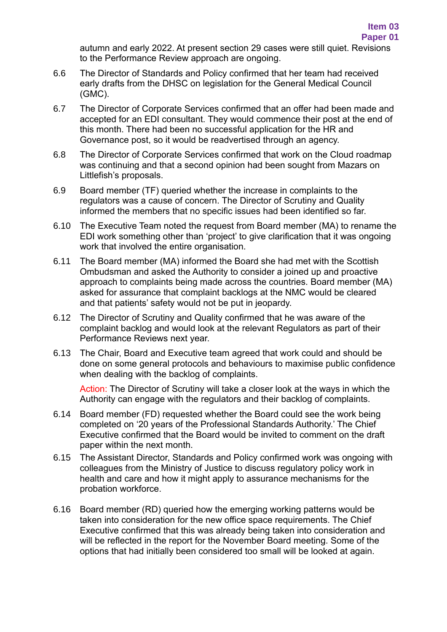autumn and early 2022. At present section 29 cases were still quiet. Revisions to the Performance Review approach are ongoing.

- 6.6 The Director of Standards and Policy confirmed that her team had received early drafts from the DHSC on legislation for the General Medical Council (GMC).
- 6.7 The Director of Corporate Services confirmed that an offer had been made and accepted for an EDI consultant. They would commence their post at the end of this month. There had been no successful application for the HR and Governance post, so it would be readvertised through an agency.
- 6.8 The Director of Corporate Services confirmed that work on the Cloud roadmap was continuing and that a second opinion had been sought from Mazars on Littlefish's proposals.
- 6.9 Board member (TF) queried whether the increase in complaints to the regulators was a cause of concern. The Director of Scrutiny and Quality informed the members that no specific issues had been identified so far.
- 6.10 The Executive Team noted the request from Board member (MA) to rename the EDI work something other than 'project' to give clarification that it was ongoing work that involved the entire organisation.
- 6.11 The Board member (MA) informed the Board she had met with the Scottish Ombudsman and asked the Authority to consider a joined up and proactive approach to complaints being made across the countries. Board member (MA) asked for assurance that complaint backlogs at the NMC would be cleared and that patients' safety would not be put in jeopardy.
- 6.12 The Director of Scrutiny and Quality confirmed that he was aware of the complaint backlog and would look at the relevant Regulators as part of their Performance Reviews next year.
- 6.13 The Chair, Board and Executive team agreed that work could and should be done on some general protocols and behaviours to maximise public confidence when dealing with the backlog of complaints.

Action: The Director of Scrutiny will take a closer look at the ways in which the Authority can engage with the regulators and their backlog of complaints.

- 6.14 Board member (FD) requested whether the Board could see the work being completed on '20 years of the Professional Standards Authority.' The Chief Executive confirmed that the Board would be invited to comment on the draft paper within the next month.
- 6.15 The Assistant Director, Standards and Policy confirmed work was ongoing with colleagues from the Ministry of Justice to discuss regulatory policy work in health and care and how it might apply to assurance mechanisms for the probation workforce.
- 6.16 Board member (RD) queried how the emerging working patterns would be taken into consideration for the new office space requirements. The Chief Executive confirmed that this was already being taken into consideration and will be reflected in the report for the November Board meeting. Some of the options that had initially been considered too small will be looked at again.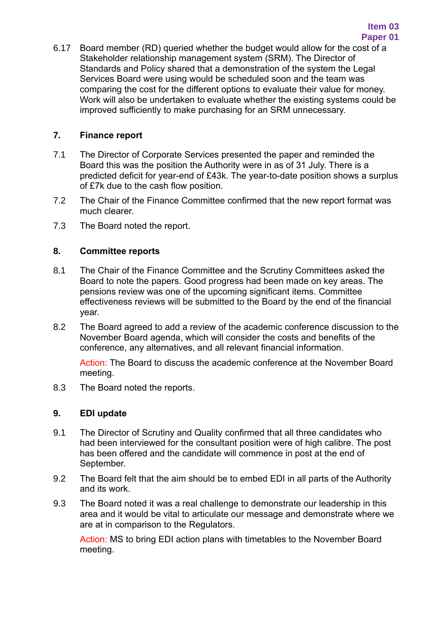6.17 Board member (RD) queried whether the budget would allow for the cost of a Stakeholder relationship management system (SRM). The Director of Standards and Policy shared that a demonstration of the system the Legal Services Board were using would be scheduled soon and the team was comparing the cost for the different options to evaluate their value for money. Work will also be undertaken to evaluate whether the existing systems could be improved sufficiently to make purchasing for an SRM unnecessary.

#### **7. Finance report**

- 7.1 The Director of Corporate Services presented the paper and reminded the Board this was the position the Authority were in as of 31 July. There is a predicted deficit for year-end of £43k. The year-to-date position shows a surplus of £7k due to the cash flow position.
- 7.2 The Chair of the Finance Committee confirmed that the new report format was much clearer.
- 7.3 The Board noted the report.

#### **8. Committee reports**

- 8.1 The Chair of the Finance Committee and the Scrutiny Committees asked the Board to note the papers. Good progress had been made on key areas. The pensions review was one of the upcoming significant items. Committee effectiveness reviews will be submitted to the Board by the end of the financial year.
- 8.2 The Board agreed to add a review of the academic conference discussion to the November Board agenda, which will consider the costs and benefits of the conference, any alternatives, and all relevant financial information.

Action: The Board to discuss the academic conference at the November Board meeting.

8.3 The Board noted the reports.

## **9. EDI update**

- 9.1 The Director of Scrutiny and Quality confirmed that all three candidates who had been interviewed for the consultant position were of high calibre. The post has been offered and the candidate will commence in post at the end of September.
- 9.2 The Board felt that the aim should be to embed EDI in all parts of the Authority and its work.
- 9.3 The Board noted it was a real challenge to demonstrate our leadership in this area and it would be vital to articulate our message and demonstrate where we are at in comparison to the Regulators.

Action: MS to bring EDI action plans with timetables to the November Board meeting.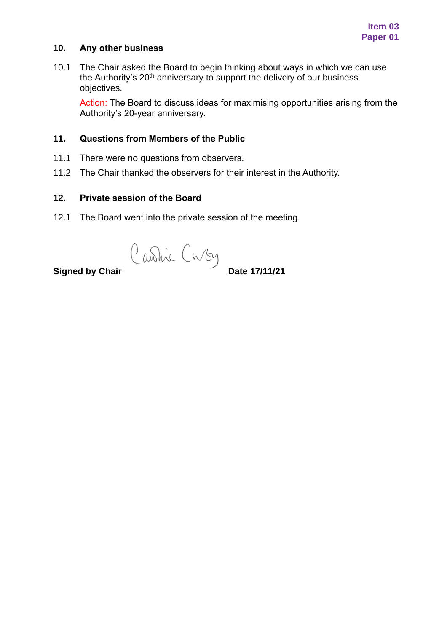#### **10. Any other business**

10.1 The Chair asked the Board to begin thinking about ways in which we can use the Authority's  $20<sup>th</sup>$  anniversary to support the delivery of our business objectives.

Action: The Board to discuss ideas for maximising opportunities arising from the Authority's 20-year anniversary.

#### **11. Questions from Members of the Public**

- 11.1 There were no questions from observers.
- 11.2 The Chair thanked the observers for their interest in the Authority.

#### **12. Private session of the Board**

12.1 The Board went into the private session of the meeting.

**Signed by Chair** Cuby<br>**Date 17/11/21**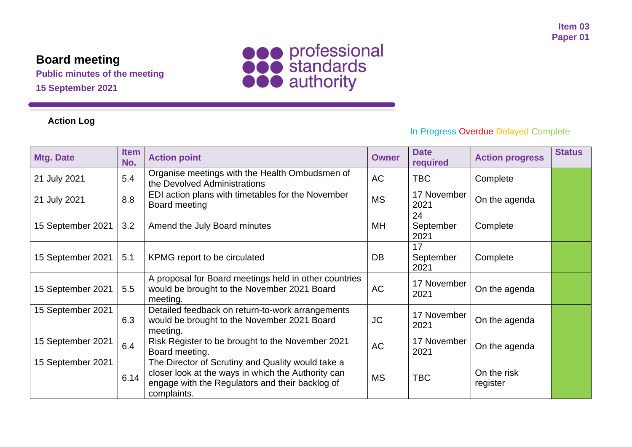# **Board meeting**

**Public minutes of the meeting**

**15 September 2021**

# **Action Log**



# In Progress Overdue Delayed Complete

| <b>Mtg. Date</b>  | <b>Item</b><br>No. | <b>Action point</b>                                                                                                                                                       | <b>Owner</b> | <b>Date</b><br>required | <b>Action progress</b>  | <b>Status</b> |
|-------------------|--------------------|---------------------------------------------------------------------------------------------------------------------------------------------------------------------------|--------------|-------------------------|-------------------------|---------------|
| 21 July 2021      | 5.4                | Organise meetings with the Health Ombudsmen of<br>the Devolved Administrations                                                                                            | <b>AC</b>    | <b>TBC</b>              | Complete                |               |
| 21 July 2021      | 8.8                | EDI action plans with timetables for the November<br>Board meeting                                                                                                        | <b>MS</b>    | 17 November<br>2021     | On the agenda           |               |
| 15 September 2021 | 3.2                | Amend the July Board minutes                                                                                                                                              | MH           | 24<br>September<br>2021 | Complete                |               |
| 15 September 2021 | 5.1                | KPMG report to be circulated                                                                                                                                              | DB           | 17<br>September<br>2021 | Complete                |               |
| 15 September 2021 | 5.5                | A proposal for Board meetings held in other countries<br>would be brought to the November 2021 Board<br>meeting.                                                          | AC           | 17 November<br>2021     | On the agenda           |               |
| 15 September 2021 | 6.3                | Detailed feedback on return-to-work arrangements<br>would be brought to the November 2021 Board<br>meeting.                                                               | <b>JC</b>    | 17 November<br>2021     | On the agenda           |               |
| 15 September 2021 | 6.4                | Risk Register to be brought to the November 2021<br>Board meeting.                                                                                                        | <b>AC</b>    | 17 November<br>2021     | On the agenda           |               |
| 15 September 2021 | 6.14               | The Director of Scrutiny and Quality would take a<br>closer look at the ways in which the Authority can<br>engage with the Regulators and their backlog of<br>complaints. | <b>MS</b>    | <b>TBC</b>              | On the risk<br>register |               |